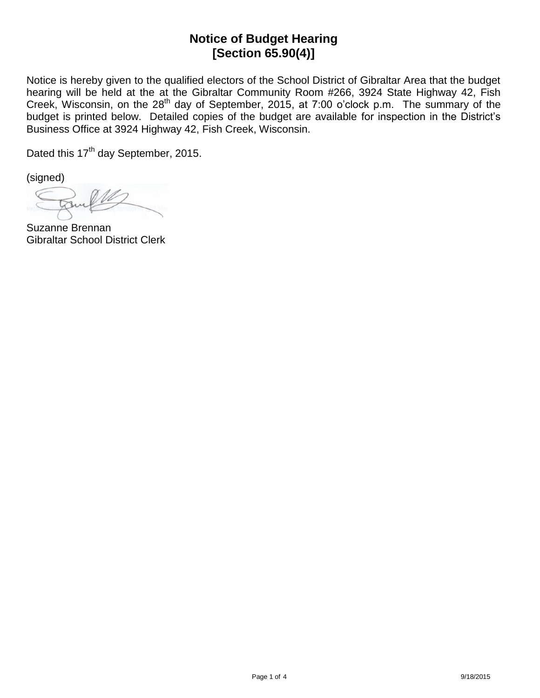## **Notice of Budget Hearing [Section 65.90(4)]**

Notice is hereby given to the qualified electors of the School District of Gibraltar Area that the budget hearing will be held at the at the Gibraltar Community Room #266, 3924 State Highway 42, Fish Creek, Wisconsin, on the 28<sup>th</sup> day of September, 2015, at 7:00 o'clock p.m. The summary of the budget is printed below. Detailed copies of the budget are available for inspection in the District's Business Office at 3924 Highway 42, Fish Creek, Wisconsin.

Dated this 17<sup>th</sup> day September, 2015.

(signed)

Suzanne Brennan Gibraltar School District Clerk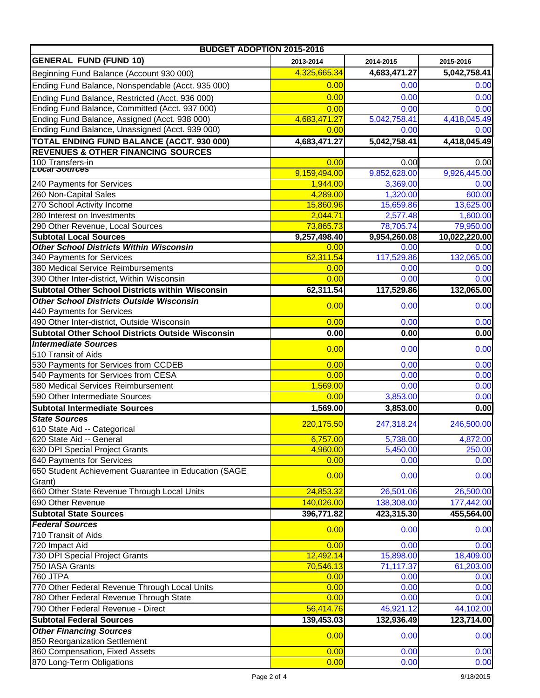| <b>BUDGET ADOPTION 2015-2016</b>                                         |                   |                   |                        |
|--------------------------------------------------------------------------|-------------------|-------------------|------------------------|
| <b>GENERAL FUND (FUND 10)</b>                                            | 2013-2014         | 2014-2015         | 2015-2016              |
| Beginning Fund Balance (Account 930 000)                                 | 4,325,665.34      | 4,683,471.27      | 5,042,758.41           |
| Ending Fund Balance, Nonspendable (Acct. 935 000)                        | 0.00              | 0.00              | 0.00                   |
| Ending Fund Balance, Restricted (Acct. 936 000)                          | 0.00              | 0.00              | 0.00                   |
| Ending Fund Balance, Committed (Acct. 937 000)                           | 0.00              | 0.00              | 0.00                   |
| Ending Fund Balance, Assigned (Acct. 938 000)                            | 4,683,471.27      | 5,042,758.41      | 4,418,045.49           |
| Ending Fund Balance, Unassigned (Acct. 939 000)                          | 0.00              | 0.00              | 0.00                   |
| <b>TOTAL ENDING FUND BALANCE (ACCT. 930 000)</b>                         | 4,683,471.27      | 5,042,758.41      | 4,418,045.49           |
| <b>REVENUES &amp; OTHER FINANCING SOURCES</b>                            |                   |                   |                        |
| 100 Transfers-in                                                         | 0.00              | 0.00              | 0.00                   |
| Local Sources                                                            | 9,159,494.00      | 9,852,628.00      | 9,926,445.00           |
| 240 Payments for Services                                                | 1,944.00          | 3,369.00          | 0.00                   |
| 260 Non-Capital Sales                                                    | 4,289.00          | 1,320.00          | 600.00                 |
| 270 School Activity Income                                               | 15,860.96         | 15,659.86         | 13,625.00              |
| 280 Interest on Investments                                              | 2,044.71          | 2,577.48          | 1,600.00               |
| 290 Other Revenue, Local Sources                                         | 73,865.73         | 78,705.74         | 79,950.00              |
| <b>Subtotal Local Sources</b>                                            | 9,257,498.40      | 9,954,260.08      | 10,022,220.00          |
| <b>Other School Districts Within Wisconsin</b>                           | 0.00              | 0.00              | 0.00                   |
| 340 Payments for Services                                                | 62,311.54         | 117,529.86        | 132,065.00             |
| 380 Medical Service Reimbursements                                       | 0.00              | 0.00              | 0.00                   |
| 390 Other Inter-district, Within Wisconsin                               | 0.00              | 0.00              | 0.00                   |
| <b>Subtotal Other School Districts within Wisconsin</b>                  | 62,311.54         | 117,529.86        | 132,065.00             |
| <b>Other School Districts Outside Wisconsin</b>                          | 0.00              | 0.00              | 0.00                   |
| 440 Payments for Services<br>490 Other Inter-district, Outside Wisconsin | 0.00              | 0.00              | 0.00                   |
| <b>Subtotal Other School Districts Outside Wisconsin</b>                 | 0.00              | 0.00              | 0.00                   |
| <b>Intermediate Sources</b>                                              |                   |                   |                        |
| 510 Transit of Aids                                                      | 0.00              | 0.00              | 0.00                   |
| 530 Payments for Services from CCDEB                                     | 0.00              | 0.00              | 0.00                   |
| 540 Payments for Services from CESA                                      | 0.00              | 0.00              | 0.00                   |
| 580 Medical Services Reimbursement                                       | 1,569.00          | 0.00              | 0.00                   |
| 590 Other Intermediate Sources                                           | 0.00              | 3,853.00          | 0.00                   |
| <b>Subtotal Intermediate Sources</b>                                     | 1,569.00          | 3,853.00          | 0.00                   |
| <b>State Sources</b>                                                     |                   |                   |                        |
| 610 State Aid -- Categorical                                             | 220,175.50        | 247,318.24        | 246,500.00             |
| 620 State Aid -- General                                                 | 6,757.00          | 5,738.00          | 4,872.00               |
| 630 DPI Special Project Grants                                           | 4,960.00          | 5,450.00          | 250.00                 |
| 640 Payments for Services                                                | 0.00              | 0.00              | 0.00                   |
| 650 Student Achievement Guarantee in Education (SAGE                     | 0.00              | 0.00              | 0.00                   |
| Grant)                                                                   |                   |                   |                        |
| 660 Other State Revenue Through Local Units                              | 24,853.32         | 26,501.06         | 26,500.00              |
| 690 Other Revenue                                                        | 140,026.00        | 138,308.00        | 177,442.00             |
| <b>Subtotal State Sources</b>                                            | 396,771.82        | 423,315.30        | 455,564.00             |
| <b>Federal Sources</b>                                                   | 0.00              | 0.00              | 0.00                   |
| 710 Transit of Aids                                                      |                   |                   |                        |
| 720 Impact Aid<br>730 DPI Special Project Grants                         | 0.00<br>12,492.14 | 0.00<br>15,898.00 | 0.00                   |
| 750 IASA Grants                                                          | 70,546.13         | 71,117.37         | 18,409.00<br>61,203.00 |
| 760 JTPA                                                                 | 0.00              | 0.00              | 0.00                   |
| 770 Other Federal Revenue Through Local Units                            | 0.00              | 0.00              | 0.00                   |
| 780 Other Federal Revenue Through State                                  | 0.00              | 0.00              | 0.00                   |
| 790 Other Federal Revenue - Direct                                       | 56,414.76         | 45,921.12         | 44,102.00              |
| <b>Subtotal Federal Sources</b>                                          | 139,453.03        | 132,936.49        | 123,714.00             |
| <b>Other Financing Sources</b>                                           |                   |                   |                        |
| 850 Reorganization Settlement                                            | 0.00              | 0.00              | 0.00                   |
| 860 Compensation, Fixed Assets                                           | 0.00              | 0.00              | 0.00                   |
| 870 Long-Term Obligations                                                | 0.00              | 0.00              | 0.00                   |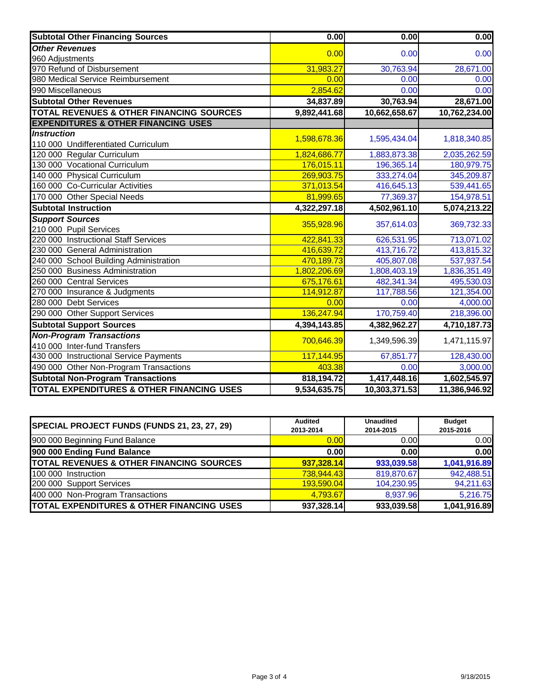| <b>Subtotal Other Financing Sources</b>              | 0.00         | 0.00          | 0.00          |
|------------------------------------------------------|--------------|---------------|---------------|
| <b>Other Revenues</b>                                |              |               |               |
| 960 Adjustments                                      | 0.00         | 0.00          | 0.00          |
| 970 Refund of Disbursement                           | 31,983.27    | 30,763.94     | 28,671.00     |
| 980 Medical Service Reimbursement                    | 0.00         | 0.00          | 0.00          |
| 990 Miscellaneous                                    | 2,854.62     | 0.00          | 0.00          |
| <b>Subtotal Other Revenues</b>                       | 34,837.89    | 30,763.94     | 28,671.00     |
| <b>TOTAL REVENUES &amp; OTHER FINANCING SOURCES</b>  | 9,892,441.68 | 10,662,658.67 | 10,762,234.00 |
| <b>EXPENDITURES &amp; OTHER FINANCING USES</b>       |              |               |               |
| <b>Instruction</b>                                   | 1,598,678.36 | 1,595,434.04  | 1,818,340.85  |
| 110 000 Undifferentiated Curriculum                  |              |               |               |
| 120 000 Regular Curriculum                           | 1,824,686.77 | 1,883,873.38  | 2,035,262.59  |
| 130 000 Vocational Curriculum                        | 176,015.11   | 196,365.14    | 180,979.75    |
| 140 000 Physical Curriculum                          | 269,903.75   | 333,274.04    | 345,209.87    |
| 160 000 Co-Curricular Activities                     | 371,013.54   | 416,645.13    | 539,441.65    |
| 170 000 Other Special Needs                          | 81,999.65    | 77,369.37     | 154,978.51    |
| <b>Subtotal Instruction</b>                          | 4,322,297.18 | 4,502,961.10  | 5,074,213.22  |
| <b>Support Sources</b>                               | 355,928.96   | 357,614.03    | 369,732.33    |
| 210 000 Pupil Services                               |              |               |               |
| 220 000 Instructional Staff Services                 | 422,841.33   | 626,531.95    | 713,071.02    |
| 230 000 General Administration                       | 416,639.72   | 413,716.72    | 413,815.32    |
| 240 000 School Building Administration               | 470,189.73   | 405,807.08    | 537,937.54    |
| 250 000 Business Administration                      | 1,802,206.69 | 1,808,403.19  | 1,836,351.49  |
| 260 000 Central Services                             | 675,176.61   | 482,341.34    | 495,530.03    |
| 270 000 Insurance & Judgments                        | 114,912.87   | 117,788.56    | 121,354.00    |
| 280 000 Debt Services                                | 0.00         | 0.00          | 4,000.00      |
| 290 000 Other Support Services                       | 136,247.94   | 170,759.40    | 218,396.00    |
| <b>Subtotal Support Sources</b>                      | 4,394,143.85 | 4,382,962.27  | 4,710,187.73  |
| <b>Non-Program Transactions</b>                      | 700,646.39   | 1,349,596.39  | 1,471,115.97  |
| 410 000 Inter-fund Transfers                         |              |               |               |
| 430 000 Instructional Service Payments               | 117,144.95   | 67,851.77     | 128,430.00    |
| 490 000 Other Non-Program Transactions               | 403.38       | 0.00          | 3,000.00      |
| <b>Subtotal Non-Program Transactions</b>             | 818,194.72   | 1,417,448.16  | 1,602,545.97  |
| <b>TOTAL EXPENDITURES &amp; OTHER FINANCING USES</b> | 9,534,635.75 | 10,303,371.53 | 11,386,946.92 |

| SPECIAL PROJECT FUNDS (FUNDS 21, 23, 27, 29)         | <b>Audited</b><br>2013-2014 | <b>Unaudited</b><br>2014-2015 | <b>Budget</b><br>2015-2016 |
|------------------------------------------------------|-----------------------------|-------------------------------|----------------------------|
| 900 000 Beginning Fund Balance                       | 0.00                        | 0.00                          | 0.00                       |
| 900 000 Ending Fund Balance                          | 0.00                        | 0.001                         | 0.00                       |
| TOTAL REVENUES & OTHER FINANCING SOURCES             | 937,328.14                  | 933,039.58                    | 1,041,916.89               |
| 100 000 Instruction                                  | 738,944.43                  | 819,870.67                    | 942,488.51                 |
| 200 000 Support Services                             | 193.590.04                  | 104,230.95                    | 94,211.63                  |
| 400 000 Non-Program Transactions                     | 4.793.67                    | 8,937.96                      | 5,216.75                   |
| <b>TOTAL EXPENDITURES &amp; OTHER FINANCING USES</b> | 937,328.14                  | 933,039.58                    | 1,041,916.89               |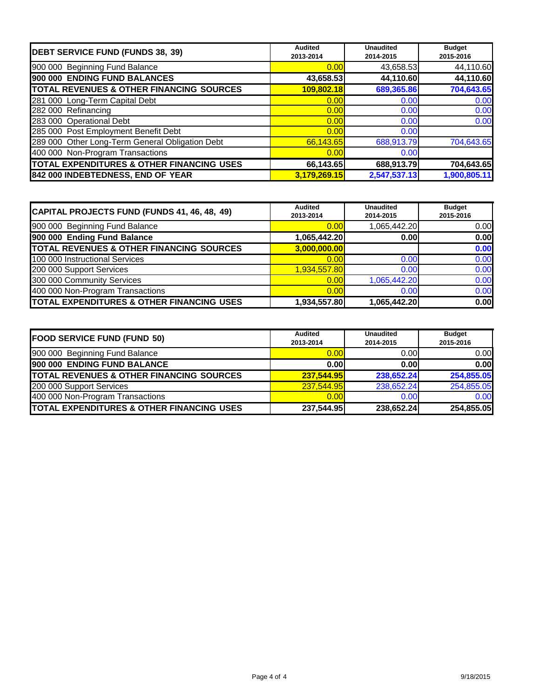| <b>DEBT SERVICE FUND (FUNDS 38, 39)</b>              | <b>Audited</b><br>2013-2014 | <b>Unaudited</b><br>2014-2015 | <b>Budget</b><br>2015-2016 |
|------------------------------------------------------|-----------------------------|-------------------------------|----------------------------|
| 900 000 Beginning Fund Balance                       | 0.00                        | 43,658.53                     | 44,110.60                  |
| 900 000 ENDING FUND BALANCES                         | 43,658.53                   | 44,110.60                     | 44,110.60                  |
| <b>TOTAL REVENUES &amp; OTHER FINANCING SOURCES</b>  | 109,802.18                  | 689,365.86                    | 704,643.65                 |
| 281 000 Long-Term Capital Debt                       | 0.00                        | 0.00                          | 0.00                       |
| 282 000 Refinancing                                  | 0.00                        | 0.00                          | 0.00                       |
| 283 000 Operational Debt                             | 0.00                        | 0.00                          | 0.00                       |
| 285 000 Post Employment Benefit Debt                 | 0.00                        | 0.00                          |                            |
| 289 000 Other Long-Term General Obligation Debt      | 66,143.65                   | 688,913.79                    | 704,643.65                 |
| 400 000 Non-Program Transactions                     | 0.00                        | 0.00                          |                            |
| <b>TOTAL EXPENDITURES &amp; OTHER FINANCING USES</b> | 66,143.65                   | 688,913.79                    | 704,643.65                 |
| 842 000 INDEBTEDNESS, END OF YEAR                    | 3,179,269.15                | 2,547,537.13                  | 1,900,805.11               |

| CAPITAL PROJECTS FUND (FUNDS 41, 46, 48, 49)         | <b>Audited</b><br>2013-2014 | <b>Unaudited</b><br>2014-2015 | <b>Budget</b><br>2015-2016 |
|------------------------------------------------------|-----------------------------|-------------------------------|----------------------------|
| 900 000 Beginning Fund Balance                       | 0.00                        | 1,065,442.20                  | 0.00                       |
| 900 000 Ending Fund Balance                          | 1,065,442.20                | 0.001                         | 0.00                       |
| <b>TOTAL REVENUES &amp; OTHER FINANCING SOURCES</b>  | 3,000,000.00                |                               | 0.00                       |
| 100 000 Instructional Services                       | 0.00                        | 0.00                          | 0.00                       |
| 200 000 Support Services                             | 1,934,557.80                | 0.00                          | 0.00                       |
| 300 000 Community Services                           | 0.00                        | 1,065,442.20                  | 0.00                       |
| 400 000 Non-Program Transactions                     | 0.00                        | 0.00                          | 0.00                       |
| <b>TOTAL EXPENDITURES &amp; OTHER FINANCING USES</b> | 1,934,557.80                | 1,065,442.20                  | 0.00                       |

| <b>FOOD SERVICE FUND (FUND 50)</b>                   | <b>Audited</b><br>2013-2014 | <b>Unaudited</b><br>2014-2015 | <b>Budget</b><br>2015-2016 |
|------------------------------------------------------|-----------------------------|-------------------------------|----------------------------|
| 900 000 Beginning Fund Balance                       | 0.00                        | 0.00                          | 0.00                       |
| 900 000 ENDING FUND BALANCE                          | 0.00                        | 0.00                          | 0.00                       |
| <b>TOTAL REVENUES &amp; OTHER FINANCING SOURCES</b>  | 237,544.95                  | 238,652.24                    | 254,855.05                 |
| 200 000 Support Services                             | 237,544.95                  | 238,652.24                    | 254,855.05                 |
| 400 000 Non-Program Transactions                     | 0.00                        | 0.00                          | 0.00                       |
| <b>TOTAL EXPENDITURES &amp; OTHER FINANCING USES</b> | 237,544.95                  | 238,652.24                    | 254,855.05                 |